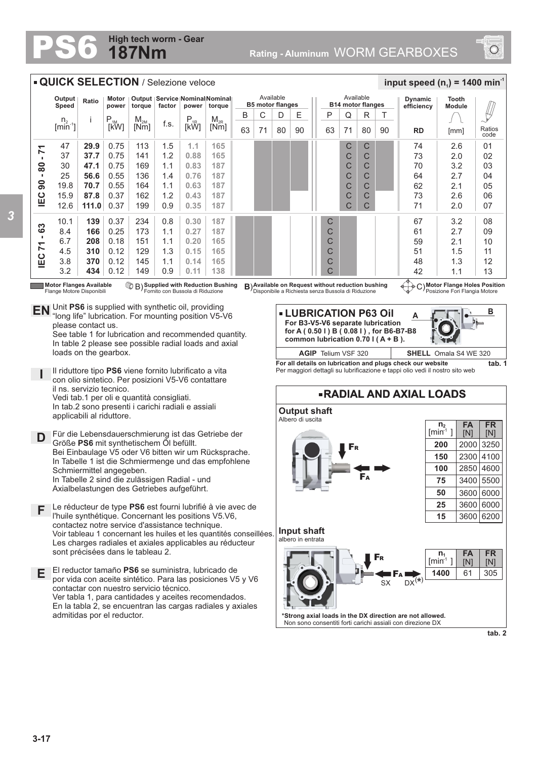## **187Nm High tech worm - Gear**



## **QUICK SELECTION** / Selezione veloce  $\frac{1}{2}$  **input speed (n**<sub>1</sub>) = 1400 min<sup>-1</sup> Available Available **Output Tooth Speed Ratio Motor power Output Service Nominal Nominal Dynamic B5 motor flanges B14 motor flanges torque factor power torque efficiency Module**  $\bigtriangledown$ R T B C D E || P Q i |P<br>[kW]  $\begin{array}{c|c} M_{2M} \ \hline \ \hline \end{array}$  F.s.  $\begin{array}{c|c} P_{1R} \ \hline \end{array}$ M<sub>2R</sub><br>[Nm]  $\sqrt{ }$ n.  $[kW]$  $\lim_{n \to \infty}$ 80 90 **RD** [mm] Ratios 63 71 80 90 63 71 [mm] 0.75 C C 74  $2.6$ 47 **29.9** 113 1.5 **1.1 165**  $^{\circ}$  $-80 - 71$ **IEC 90 - 80 - 71** 37 **37.7** 0.75 1.2 C C 73 2.0 02 141 **0.88 165** 30 **47.1** 0.75 169 **0.83 187** C C 70 3.2 03 1.1 25 0.55 **0.76 56.6** 136 1.4 **187** C C 64 2.7  $04$ 19.8 **70.7** 0.55  $\overline{C}$  $\overline{C}$ 62 05 164 1.1 **0.63 187**  $2.1$  $rac{1}{2}$ **87.8** 0.37 C C 2.6 15.9 162 1.2 **0.43 187** 73  $\Omega$ **111.0**  $\overline{C}$  $\overline{C}$ 71 12.6 0.37 199 0.9 **0.35 187** 2.0 07 10.1 **139** 0.37 234 0.8 **0.30 187** C 67 3.2 08 **IEC 71 - 63** 0.25 2.7 8.4 **166** 173 1.1 **0.27 187** C 61 09 6.7 **208** 0.18 151 **0.20 165** C 1.1 2.1 59 10 4.5 **310** 0.12 129 **0.15 165** C 51 1.5 1.3 11 3.8 **370** 0.12 145 **0.14 165** C 48 12 1.1 1.3 3.2 **434** 0.12 149 0.9 **0.11** 42 13 **138**  $\mathcal{C}$ 1.1 **Supplied with Reduction Bushing Motor Flange Holes Position Motor Flanges Available** Flange Motore Disponibili **Available on Request with Reduction Bushing B) Available on Request without reduction bushing**  $\left(\frac{1}{2}\right)$  **C)** Disponibile a Richiesta senza Bussola di Riduzione ornito con Bussola di Riduzione Posizione Fori Flangia Motore **EN** Unit **PS6** is supplied with synthetic oil, providing  $L5$ . **B LUBRICATION P63 Oil**  "long life" lubrication. For mounting position V5-V6 **A For B3-V5-V6 separate lubrication** please contact us. **for A ( 0.50 l ) B ( 0.08 l ) , for B6-B7-B8** See table 1 for lubrication and recommended quantity. **common lubrication 0.70 l ( A + B ).**  In table 2 please see possible radial loads and axial loads on the gearbox. **AGIP** Telium VSF 320 **SHELL** Omala S4 WE 320 **For all details on lubrication and plugs check our website tab. 1** Il riduttore tipo **PS6** viene fornito lubrificato a vita Per maggiori dettagli su lubrificazione e tappi olio vedi il nostro sito web **I** con olio sintetico. Per posizioni V5-V6 contattare il ns. servizio tecnico. **RADIAL AND AXIAL LOADS** Vedi tab.1 per oli e quantità consigliati. In tab.2 sono presenti i carichi radiali e assiali **Output shaft** applicabili al riduttore. Albero di uscita **n 2 FA FR**  $[min^1]$ [N] [N] Für die Lebensdauerschmierung ist das Getriebe der **D** Größe **PS6** mit synthetischem Öl befüllt. **200** 2000 3250 F<sup>R</sup> Bei Einbaulage V5 oder V6 bitten wir um Rücksprache. **150** 2300 4100 In Tabelle 1 ist die Schmiermenge und das empfohlene **100** 2850 4600 Schmiermittel angegeben. F<sup>A</sup> In Tabelle 2 sind die zulässigen Radial - und **75** 3400 5500 Axialbelastungen des Getriebes aufgeführt. **50** 3600 6000 Le réducteur de type **PS6** est fourni lubrifié à vie avec de **25** 3600 6000 **F** l'huile synthétique. Concernant les positions V5.V6, **15** 3600 6200 contactez notre service d'assistance technique. **Input shaft** Voir tableau 1 concernant les huiles et les quantités conseillées. albero in entrata Les charges radiales et axiales applicables au réducteur sont précisées dans le tableau 2. **n FA FR**  $\begin{bmatrix} \mathsf{F}_{\mathsf{R}} & \mathsf{I} \end{bmatrix}$   $\begin{bmatrix} \mathsf{I} \mathsf{I} \mathsf{I} \\ \mathsf{I} \mathsf{I} \mathsf{I} \mathsf{I} \end{bmatrix}$ [N] [N] El reductor tamaño **PS6** se suministra, lubricado de **1400** 61 305 **E** F<sup>A</sup> por vida con aceite sintético. Para las posiciones V5 y V6  $S_X$  DX<sup>(\*)</sup> contactar con nuestro servicio técnico. Ver tabla 1, para cantidades y aceites recomendados. En la tabla 2, se encuentran las cargas radiales y axiales **\*Strong axial loads in the DX direction are not allowed.** admitidas por el reductor. Non sono consentiti forti carichi assiali con direzione DX **tab. 2**

**3-17**